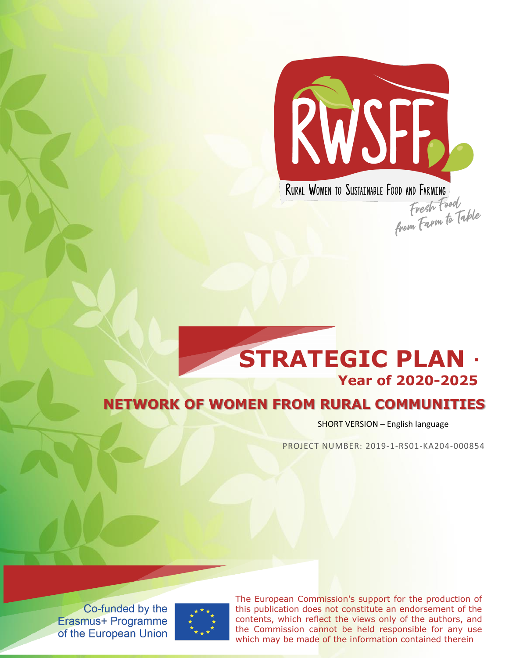

RURAL WOMEN TO SUSTAINABLE FOOD AND FARMING uuu anu rakmini<br>Fresh Food<br>from Farm to Table

# **NETWORK OF WOMEN FROM RURAL COMMUNITIES STRATEGIC PLAN – Year of 2020-2025**

SHORT VERSION – English language

PROJECT NUMBER: 2019-1-RS01-KA204-000854

Co-funded by the **Erasmus+ Programme** of the European Union



The European Commission's support for the production of this publication does not constitute an endorsement of the contents, which reflect the views only of the authors, and the Commission cannot be held responsible for any use which may be made of the information contained therein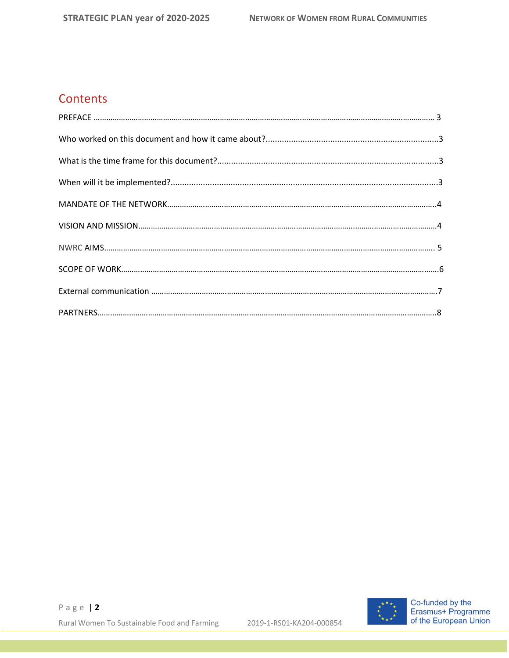# **Contents**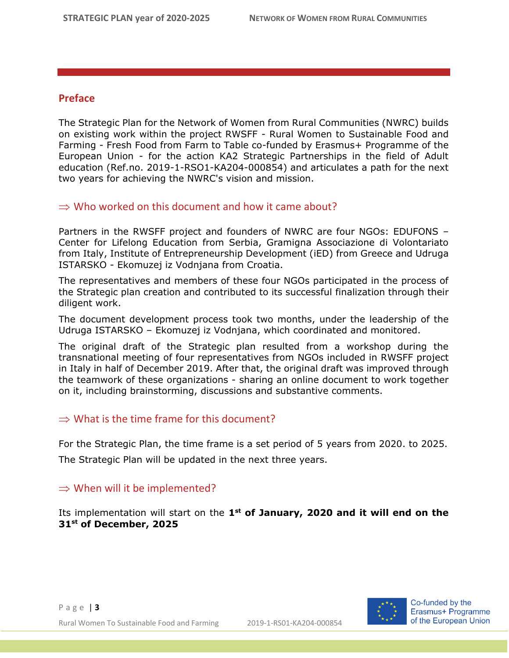#### **Preface**

The Strategic Plan for the Network of Women from Rural Communities (NWRC) builds on existing work within the project RWSFF - Rural Women to Sustainable Food and Farming - Fresh Food from Farm to Table co-funded by Erasmus+ Programme of the European Union - for the action KA2 Strategic Partnerships in the field of Adult education (Ref.no. 2019-1-RSO1-KA204-000854) and articulates a path for the next two years for achieving the NWRC's vision and mission.

#### $\Rightarrow$  Who worked on this document and how it came about?

Partners in the RWSFF project and founders of NWRC are four NGOs: EDUFONS – Center for Lifelong Education from Serbia, Gramigna Associazione di Volontariato from Italy, Institute of Entrepreneurship Development (iED) from Greece and Udruga ISTARSKO - Ekomuzej iz Vodnjana from Croatia.

The representatives and members of these four NGOs participated in the process of the Strategic plan creation and contributed to its successful finalization through their diligent work.

The document development process took two months, under the leadership of the Udruga ISTARSKO – Ekomuzej iz Vodnjana, which coordinated and monitored.

The original draft of the Strategic plan resulted from a workshop during the transnational meeting of four representatives from NGOs included in RWSFF project in Italy in half of December 2019. After that, the original draft was improved through the teamwork of these organizations - sharing an online document to work together on it, including brainstorming, discussions and substantive comments.

#### $\Rightarrow$  What is the time frame for this document?

For the Strategic Plan, the time frame is a set period of 5 years from 2020. to 2025. The Strategic Plan will be updated in the next three years.

#### $\Rightarrow$  When will it be implemented?

Its implementation will start on the 1<sup>st</sup> of January, 2020 and it will end on the **31st of December, 2025**

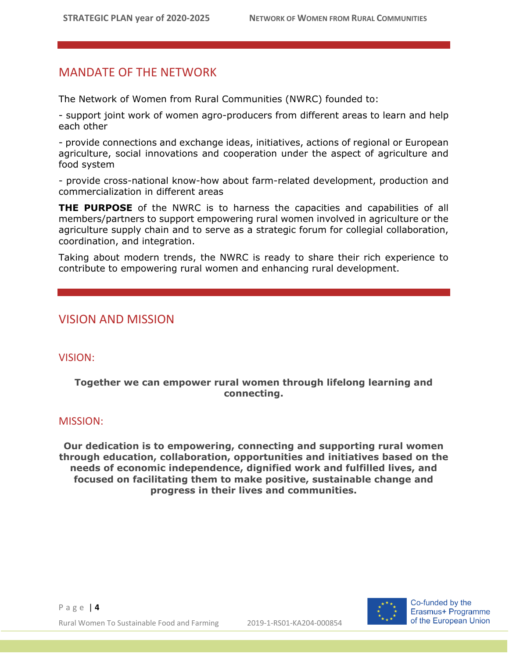## MANDATE OF THE NETWORK

The Network of Women from Rural Communities (NWRC) founded to:

- support joint work of women agro-producers from different areas to learn and help each other

- provide connections and exchange ideas, initiatives, actions of regional or European agriculture, social innovations and cooperation under the aspect of agriculture and food system

- provide cross-national know-how about farm-related development, production and commercialization in different areas

**THE PURPOSE** of the NWRC is to harness the capacities and capabilities of all members/partners to support empowering rural women involved in agriculture or the agriculture supply chain and to serve as a strategic forum for collegial collaboration, coordination, and integration.

Taking about modern trends, the NWRC is ready to share their rich experience to contribute to empowering rural women and enhancing rural development.

### VISION AND MISSION

#### VISION:

#### **Together we can empower rural women through lifelong learning and connecting.**

#### MISSION:

**Our dedication is to empowering, connecting and supporting rural women through education, collaboration, opportunities and initiatives based on the needs of economic independence, dignified work and fulfilled lives, and focused on facilitating them to make positive, sustainable change and progress in their lives and communities.**



Co-funded by the Erasmus+ Programme of the European Union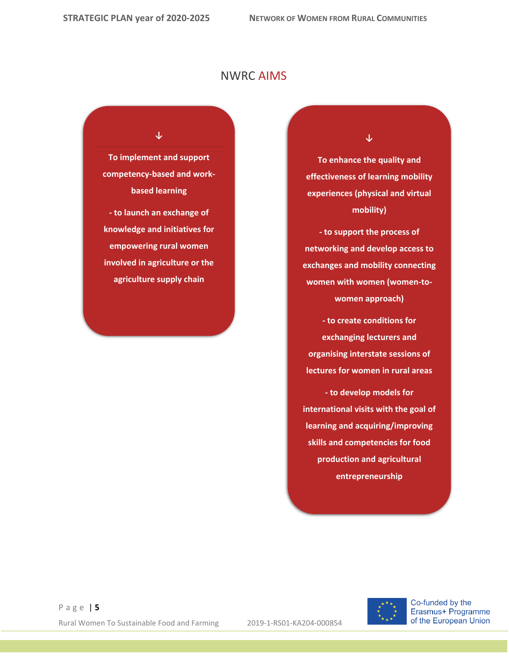## NWRC AIMS

#### **↓**

**To implement and support competency-based and workbased learning**

**- to launch an exchange of knowledge and initiatives for empowering rural women involved in agriculture or the agriculture supply chain**

**↓**

**To enhance the quality and effectiveness of learning mobility experiences (physical and virtual mobility)**

**- to support the process of networking and develop access to exchanges and mobility connecting women with women (women-towomen approach)**

**- to create conditions for exchanging lecturers and organising interstate sessions of lectures for women in rural areas**

**- to develop models for international visits with the goal of learning and acquiring/improving skills and competencies for food production and agricultural entrepreneurship**



Co-funded by the Erasmus+ Programme of the European Union

P a g e | **5** Rural Women To Sustainable Food and Farming 2019-1-RS01-KA204-000854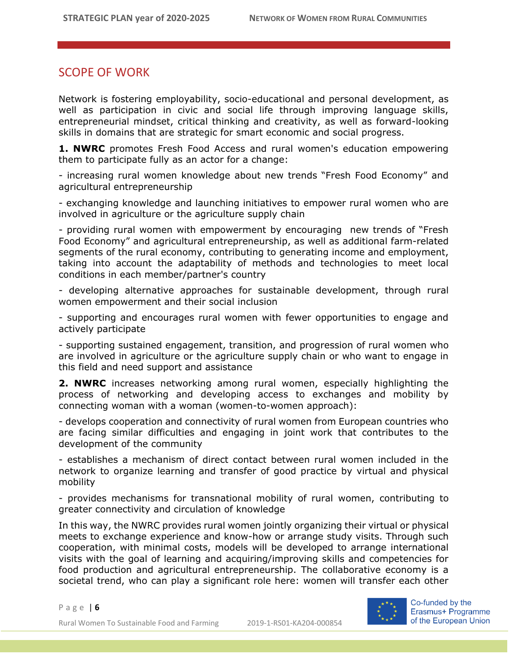## SCOPE OF WORK

Network is fostering employability, socio-educational and personal development, as well as participation in civic and social life through improving language skills, entrepreneurial mindset, critical thinking and creativity, as well as forward-looking skills in domains that are strategic for smart economic and social progress.

**1. NWRC** promotes Fresh Food Access and rural women's education empowering them to participate fully as an actor for a change:

- increasing rural women knowledge about new trends "Fresh Food Economy" and agricultural entrepreneurship

- exchanging knowledge and launching initiatives to empower rural women who are involved in agriculture or the agriculture supply chain

- providing rural women with empowerment by encouraging new trends of "Fresh Food Economy" and agricultural entrepreneurship, as well as additional farm-related segments of the rural economy, contributing to generating income and employment, taking into account the adaptability of methods and technologies to meet local conditions in each member/partner's country

- developing alternative approaches for sustainable development, through rural women empowerment and their social inclusion

- supporting and encourages rural women with fewer opportunities to engage and actively participate

- supporting sustained engagement, transition, and progression of rural women who are involved in agriculture or the agriculture supply chain or who want to engage in this field and need support and assistance

**2. NWRC** increases networking among rural women, especially highlighting the process of networking and developing access to exchanges and mobility by connecting woman with a woman (women-to-women approach):

- develops cooperation and connectivity of rural women from European countries who are facing similar difficulties and engaging in joint work that contributes to the development of the community

- establishes a mechanism of direct contact between rural women included in the network to organize learning and transfer of good practice by virtual and physical mobility

- provides mechanisms for transnational mobility of rural women, contributing to greater connectivity and circulation of knowledge

In this way, the NWRC provides rural women jointly organizing their virtual or physical meets to exchange experience and know-how or arrange study visits. Through such cooperation, with minimal costs, models will be developed to arrange international visits with the goal of learning and acquiring/improving skills and competencies for food production and agricultural entrepreneurship. The collaborative economy is a societal trend, who can play a significant role here: women will transfer each other

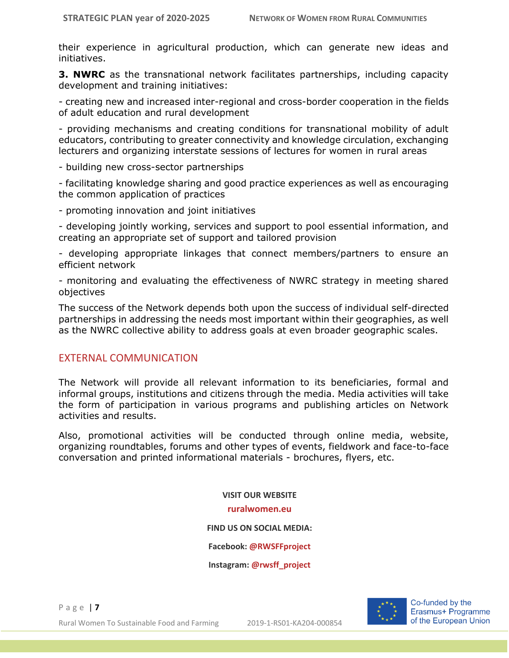their experience in agricultural production, which can generate new ideas and initiatives.

**3. NWRC** as the transnational network facilitates partnerships, including capacity development and training initiatives:

- creating new and increased inter-regional and cross-border cooperation in the fields of adult education and rural development

- providing mechanisms and creating conditions for transnational mobility of adult educators, contributing to greater connectivity and knowledge circulation, exchanging lecturers and organizing interstate sessions of lectures for women in rural areas

- building new cross-sector partnerships

- facilitating knowledge sharing and good practice experiences as well as encouraging the common application of practices

- promoting innovation and joint initiatives

- developing jointly working, services and support to pool essential information, and creating an appropriate set of support and tailored provision

- developing appropriate linkages that connect members/partners to ensure an efficient network

- monitoring and evaluating the effectiveness of NWRC strategy in meeting shared objectives

The success of the Network depends both upon the success of individual self-directed partnerships in addressing the needs most important within their geographies, as well as the NWRC collective ability to address goals at even broader geographic scales.

#### EXTERNAL COMMUNICATION

The Network will provide all relevant information to its beneficiaries, formal and informal groups, institutions and citizens through the media. Media activities will take the form of participation in various programs and publishing articles on Network activities and results.

Also, promotional activities will be conducted through online media, website, organizing roundtables, forums and other types of events, fieldwork and face-to-face conversation and printed informational materials - brochures, flyers, etc.

> **VISIT OUR WEBSITE [ruralwomen.eu](https://ruralwomen.eu/) FIND US ON SOCIAL MEDIA: Facebook: [@RWSFFproject](https://www.facebook.com/RWSFFproject/) Instagram: [@rwsff\\_project](https://www.instagram.com/rwsff_project/)**



Co-funded by the Erasmus+ Programme of the European Union